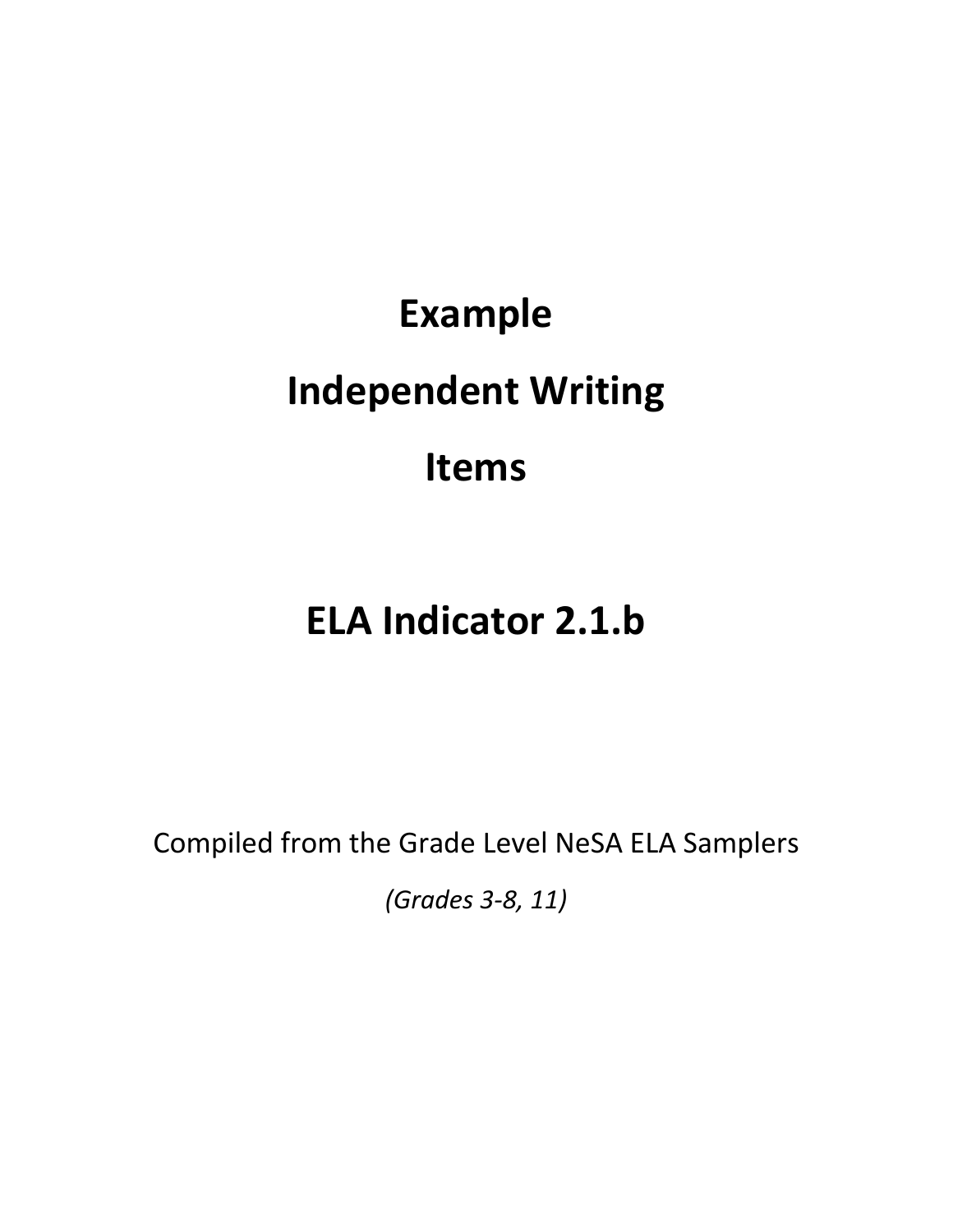# **Example Independent Writing Items**

# **ELA Indicator 2.1.b**

Compiled from the Grade Level NeSA ELA Samplers

*(Grades 3-8, 11)*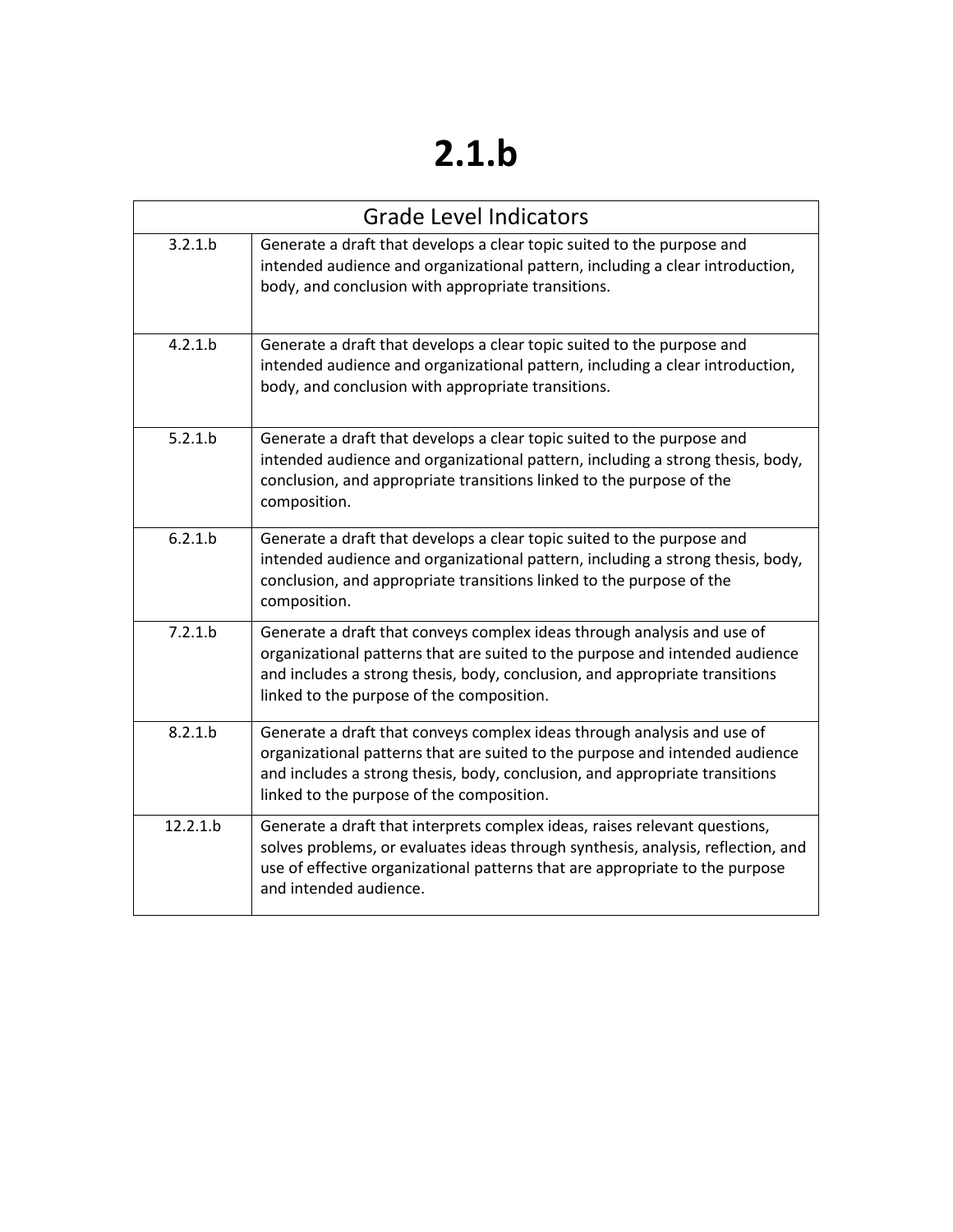# **2.1.b**

| <b>Grade Level Indicators</b> |                                                                                                                                                                                                                                                                                     |  |
|-------------------------------|-------------------------------------------------------------------------------------------------------------------------------------------------------------------------------------------------------------------------------------------------------------------------------------|--|
| 3.2.1.b                       | Generate a draft that develops a clear topic suited to the purpose and<br>intended audience and organizational pattern, including a clear introduction,<br>body, and conclusion with appropriate transitions.                                                                       |  |
| 4.2.1.b                       | Generate a draft that develops a clear topic suited to the purpose and<br>intended audience and organizational pattern, including a clear introduction,<br>body, and conclusion with appropriate transitions.                                                                       |  |
| 5.2.1.b                       | Generate a draft that develops a clear topic suited to the purpose and<br>intended audience and organizational pattern, including a strong thesis, body,<br>conclusion, and appropriate transitions linked to the purpose of the<br>composition.                                    |  |
| 6.2.1.b                       | Generate a draft that develops a clear topic suited to the purpose and<br>intended audience and organizational pattern, including a strong thesis, body,<br>conclusion, and appropriate transitions linked to the purpose of the<br>composition.                                    |  |
| 7.2.1.b                       | Generate a draft that conveys complex ideas through analysis and use of<br>organizational patterns that are suited to the purpose and intended audience<br>and includes a strong thesis, body, conclusion, and appropriate transitions<br>linked to the purpose of the composition. |  |
| 8.2.1.b                       | Generate a draft that conveys complex ideas through analysis and use of<br>organizational patterns that are suited to the purpose and intended audience<br>and includes a strong thesis, body, conclusion, and appropriate transitions<br>linked to the purpose of the composition. |  |
| 12.2.1.b                      | Generate a draft that interprets complex ideas, raises relevant questions,<br>solves problems, or evaluates ideas through synthesis, analysis, reflection, and<br>use of effective organizational patterns that are appropriate to the purpose<br>and intended audience.            |  |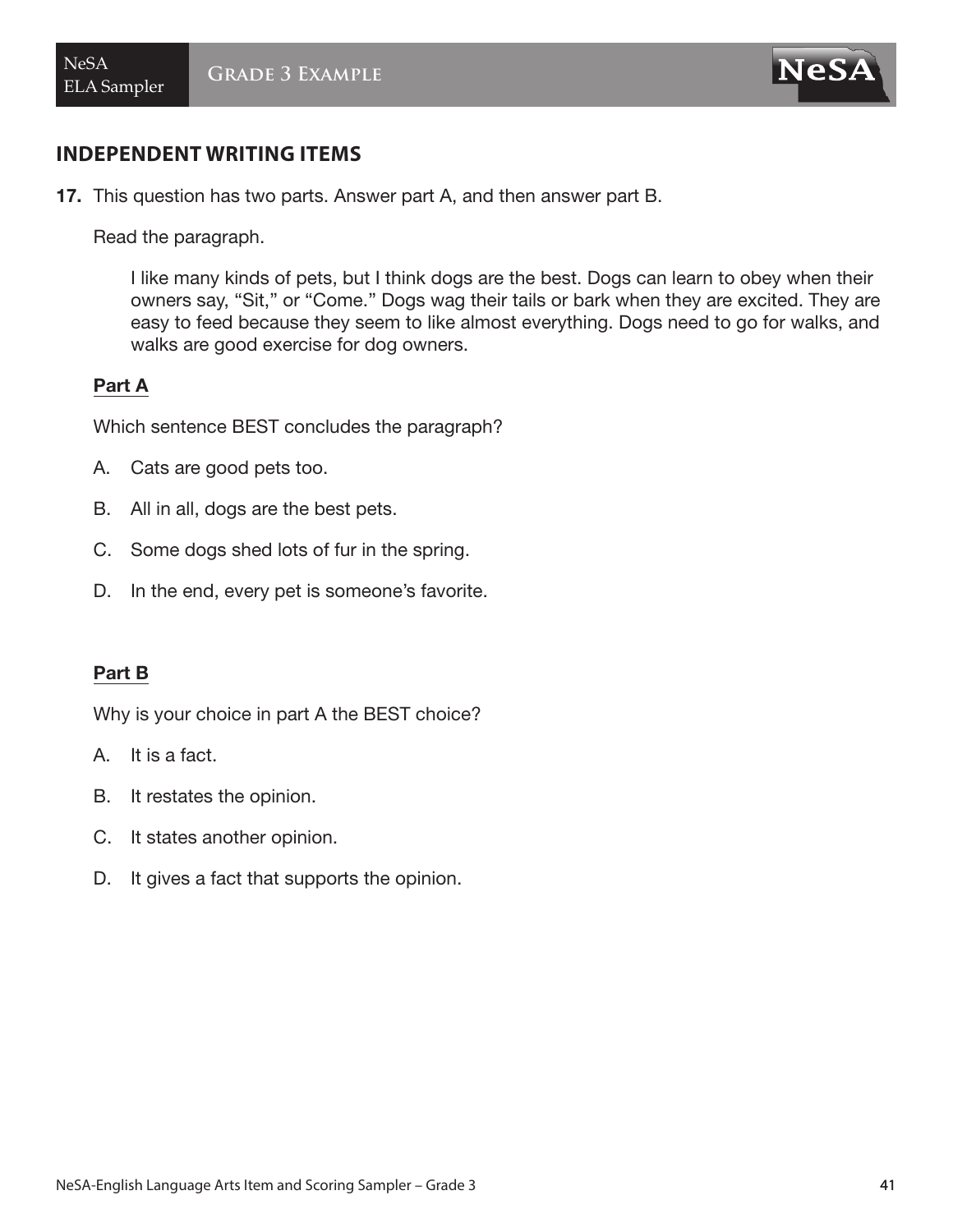

17. This question has two parts. Answer part A, and then answer part B.

Read the paragraph.

I like many kinds of pets, but I think dogs are the best. Dogs can learn to obey when their owners say, "Sit," or "Come." Dogs wag their tails or bark when they are excited. They are easy to feed because they seem to like almost everything. Dogs need to go for walks, and walks are good exercise for dog owners.

#### Part A

Which sentence BEST concludes the paragraph?

- A. Cats are good pets too.
- B. All in all, dogs are the best pets.
- C. Some dogs shed lots of fur in the spring.
- D. In the end, every pet is someone's favorite.

#### Part B

Why is your choice in part A the BEST choice?

- A. It is a fact.
- B. It restates the opinion.
- C. It states another opinion.
- D. It gives a fact that supports the opinion.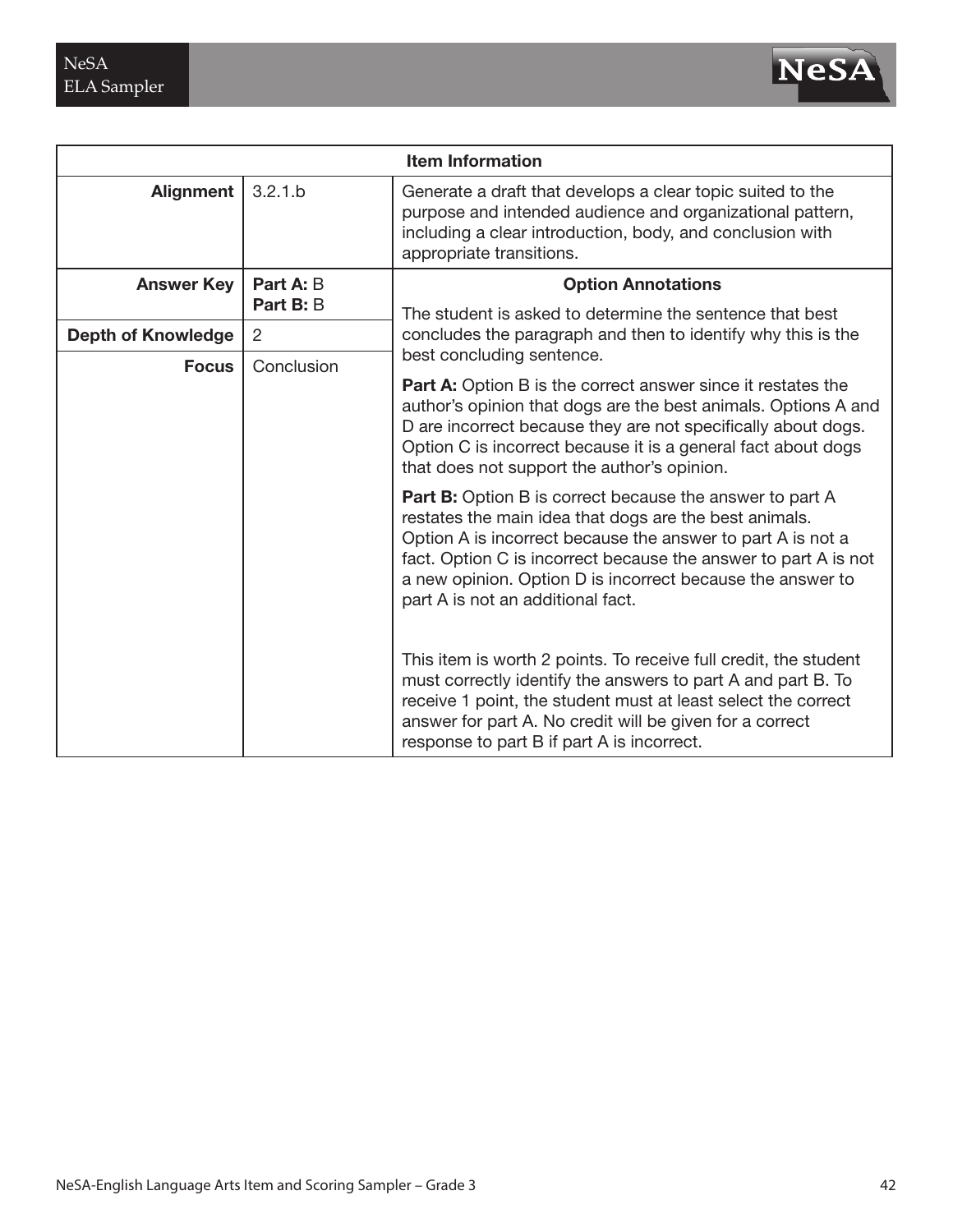

| <b>Item Information</b>    |                        |                                                                                                                                                                                                                                                                                                                                                                |
|----------------------------|------------------------|----------------------------------------------------------------------------------------------------------------------------------------------------------------------------------------------------------------------------------------------------------------------------------------------------------------------------------------------------------------|
| <b>Alignment</b>           | 3.2.1.b                | Generate a draft that develops a clear topic suited to the<br>purpose and intended audience and organizational pattern,<br>including a clear introduction, body, and conclusion with<br>appropriate transitions.                                                                                                                                               |
| <b>Answer Key</b>          | Part A: B<br>Part B: B | <b>Option Annotations</b>                                                                                                                                                                                                                                                                                                                                      |
| <b>Depth of Knowledge</b>  | $\overline{2}$         | The student is asked to determine the sentence that best<br>concludes the paragraph and then to identify why this is the<br>best concluding sentence.                                                                                                                                                                                                          |
| Conclusion<br><b>Focus</b> |                        | <b>Part A:</b> Option B is the correct answer since it restates the<br>author's opinion that dogs are the best animals. Options A and<br>D are incorrect because they are not specifically about dogs.<br>Option C is incorrect because it is a general fact about dogs<br>that does not support the author's opinion.                                         |
|                            |                        | <b>Part B:</b> Option B is correct because the answer to part A<br>restates the main idea that dogs are the best animals.<br>Option A is incorrect because the answer to part A is not a<br>fact. Option C is incorrect because the answer to part A is not<br>a new opinion. Option D is incorrect because the answer to<br>part A is not an additional fact. |
|                            |                        | This item is worth 2 points. To receive full credit, the student<br>must correctly identify the answers to part A and part B. To<br>receive 1 point, the student must at least select the correct<br>answer for part A. No credit will be given for a correct<br>response to part B if part A is incorrect.                                                    |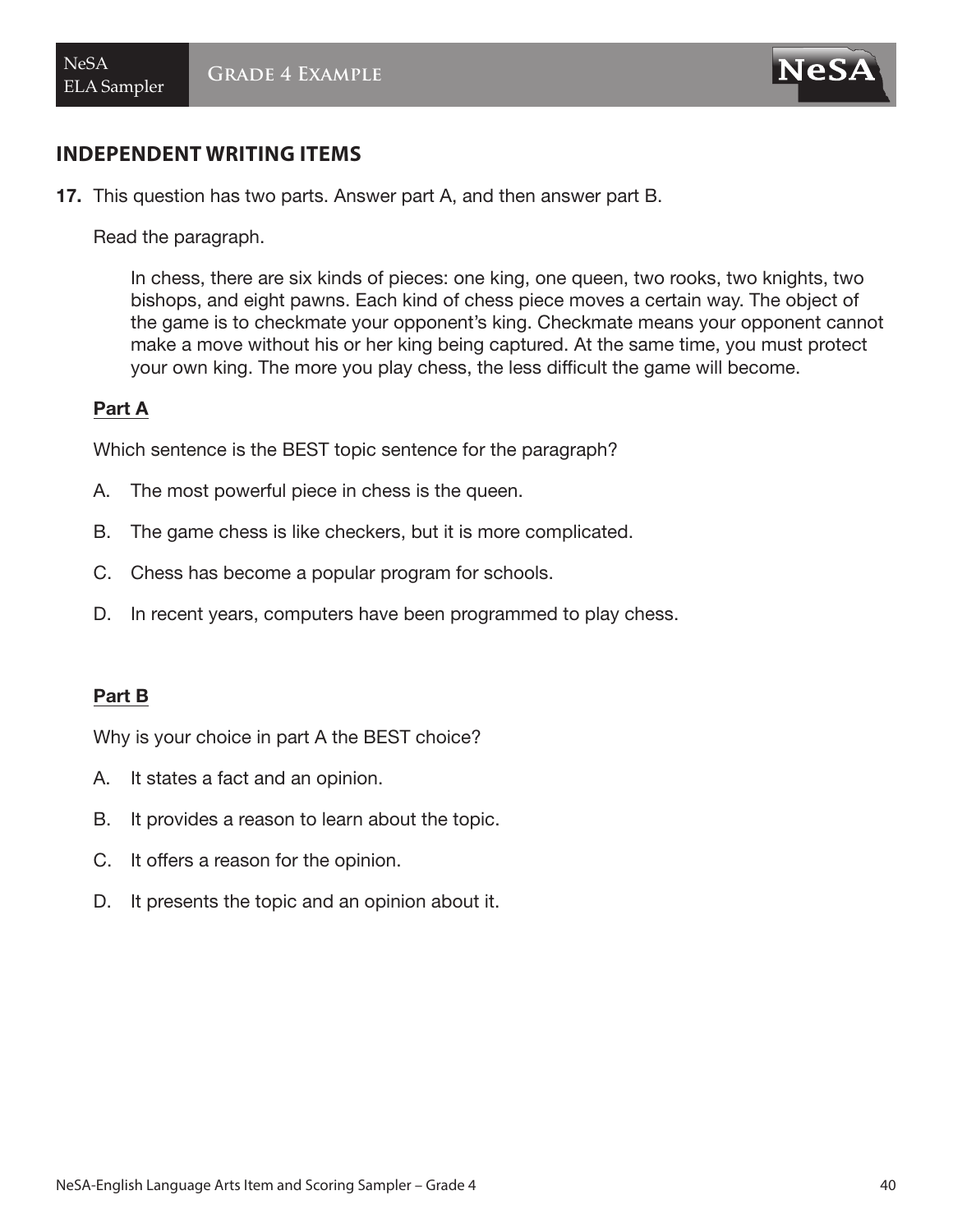

17. This question has two parts. Answer part A, and then answer part B.

Read the paragraph.

In chess, there are six kinds of pieces: one king, one queen, two rooks, two knights, two bishops, and eight pawns. Each kind of chess piece moves a certain way. The object of the game is to checkmate your opponent's king. Checkmate means your opponent cannot make a move without his or her king being captured. At the same time, you must protect your own king. The more you play chess, the less difficult the game will become.

#### Part A

Which sentence is the BEST topic sentence for the paragraph?

- A. The most powerful piece in chess is the queen.
- B. The game chess is like checkers, but it is more complicated.
- C. Chess has become a popular program for schools.
- D. In recent years, computers have been programmed to play chess.

#### Part B

Why is your choice in part A the BEST choice?

- A. It states a fact and an opinion.
- B. It provides a reason to learn about the topic.
- C. It offers a reason for the opinion.
- D. It presents the topic and an opinion about it.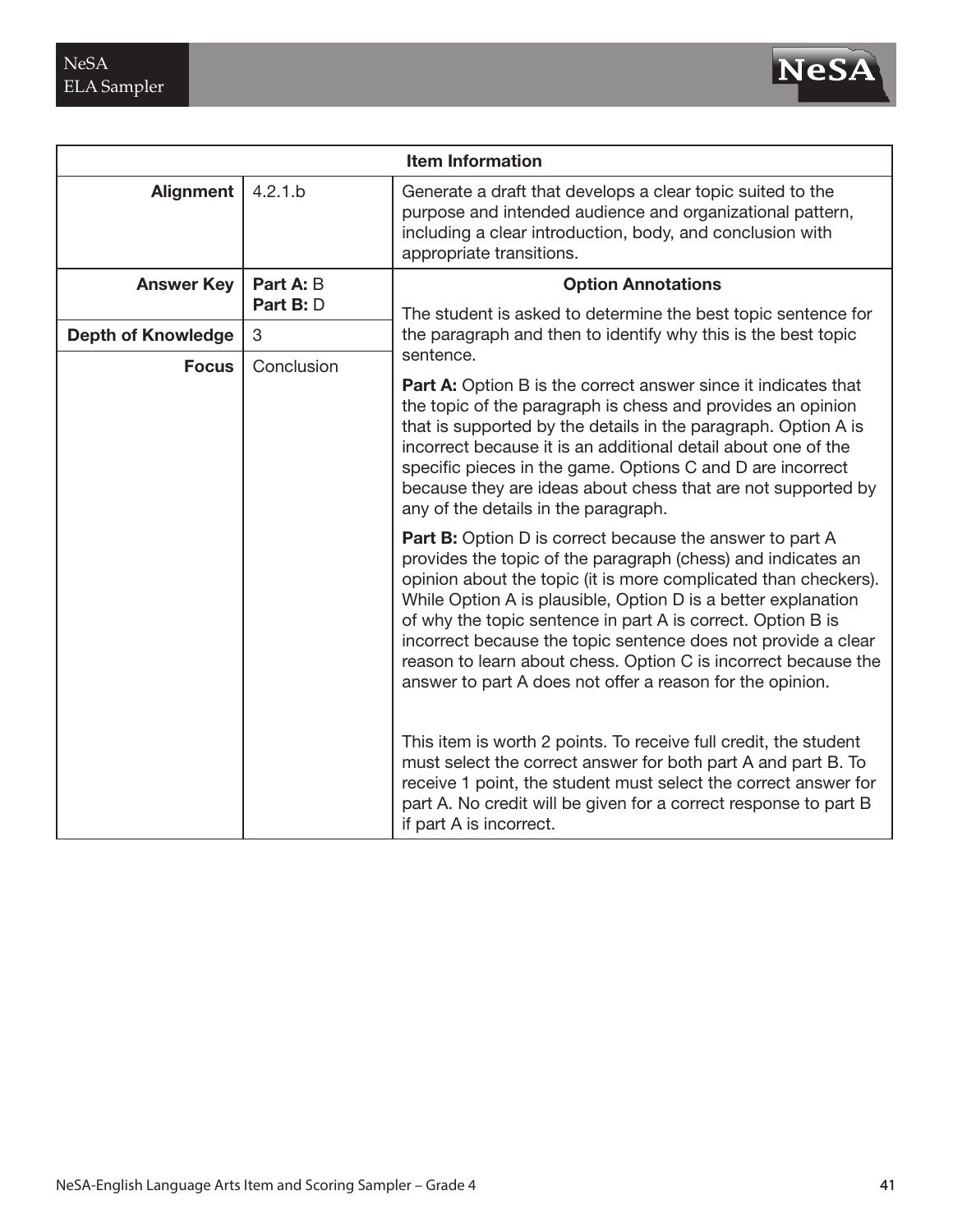

| <b>Item Information</b>    |                                                                                                                                                                                                                                                                                                                                                                                                                                                                                                                                    |                                                                                                                                                                                                                                                                                                     |
|----------------------------|------------------------------------------------------------------------------------------------------------------------------------------------------------------------------------------------------------------------------------------------------------------------------------------------------------------------------------------------------------------------------------------------------------------------------------------------------------------------------------------------------------------------------------|-----------------------------------------------------------------------------------------------------------------------------------------------------------------------------------------------------------------------------------------------------------------------------------------------------|
| Alignment                  | 4.2.1.b                                                                                                                                                                                                                                                                                                                                                                                                                                                                                                                            | Generate a draft that develops a clear topic suited to the<br>purpose and intended audience and organizational pattern,<br>including a clear introduction, body, and conclusion with<br>appropriate transitions.                                                                                    |
| <b>Answer Key</b>          | Part A: B<br>Part B: D                                                                                                                                                                                                                                                                                                                                                                                                                                                                                                             | <b>Option Annotations</b>                                                                                                                                                                                                                                                                           |
| <b>Depth of Knowledge</b>  | 3                                                                                                                                                                                                                                                                                                                                                                                                                                                                                                                                  | The student is asked to determine the best topic sentence for<br>the paragraph and then to identify why this is the best topic<br>sentence.                                                                                                                                                         |
| Conclusion<br><b>Focus</b> | <b>Part A:</b> Option B is the correct answer since it indicates that<br>the topic of the paragraph is chess and provides an opinion<br>that is supported by the details in the paragraph. Option A is<br>incorrect because it is an additional detail about one of the<br>specific pieces in the game. Options C and D are incorrect<br>because they are ideas about chess that are not supported by<br>any of the details in the paragraph.                                                                                      |                                                                                                                                                                                                                                                                                                     |
|                            | <b>Part B:</b> Option D is correct because the answer to part A<br>provides the topic of the paragraph (chess) and indicates an<br>opinion about the topic (it is more complicated than checkers).<br>While Option A is plausible, Option D is a better explanation<br>of why the topic sentence in part A is correct. Option B is<br>incorrect because the topic sentence does not provide a clear<br>reason to learn about chess. Option C is incorrect because the<br>answer to part A does not offer a reason for the opinion. |                                                                                                                                                                                                                                                                                                     |
|                            |                                                                                                                                                                                                                                                                                                                                                                                                                                                                                                                                    | This item is worth 2 points. To receive full credit, the student<br>must select the correct answer for both part A and part B. To<br>receive 1 point, the student must select the correct answer for<br>part A. No credit will be given for a correct response to part B<br>if part A is incorrect. |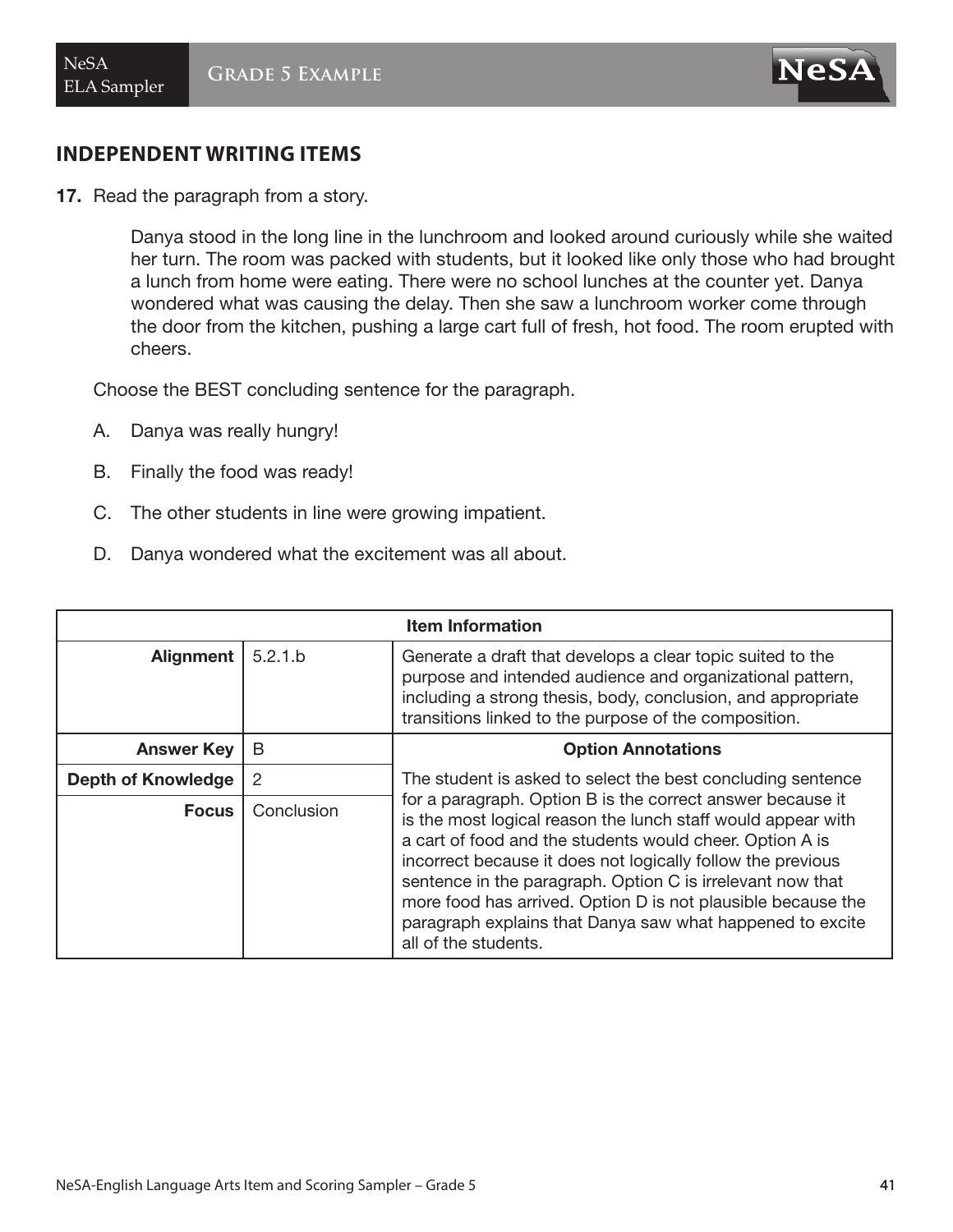

17. Read the paragraph from a story.

Danya stood in the long line in the lunchroom and looked around curiously while she waited her turn. The room was packed with students, but it looked like only those who had brought a lunch from home were eating. There were no school lunches at the counter yet. Danya wondered what was causing the delay. Then she saw a lunchroom worker come through the door from the kitchen, pushing a large cart full of fresh, hot food. The room erupted with cheers.

Choose the BEST concluding sentence for the paragraph.

- A. Danya was really hungry!
- B. Finally the food was ready!
- C. The other students in line were growing impatient.
- D. Danya wondered what the excitement was all about.

| <b>Item Information</b>   |            |                                                                                                                                                                                                                                                                                                                                                                                                                                                                          |
|---------------------------|------------|--------------------------------------------------------------------------------------------------------------------------------------------------------------------------------------------------------------------------------------------------------------------------------------------------------------------------------------------------------------------------------------------------------------------------------------------------------------------------|
| <b>Alignment</b>          | 5.2.1.b    | Generate a draft that develops a clear topic suited to the<br>purpose and intended audience and organizational pattern,<br>including a strong thesis, body, conclusion, and appropriate<br>transitions linked to the purpose of the composition.                                                                                                                                                                                                                         |
| <b>Answer Key</b>         | B          | <b>Option Annotations</b>                                                                                                                                                                                                                                                                                                                                                                                                                                                |
| <b>Depth of Knowledge</b> | 2          | The student is asked to select the best concluding sentence                                                                                                                                                                                                                                                                                                                                                                                                              |
| <b>Focus</b>              | Conclusion | for a paragraph. Option B is the correct answer because it<br>is the most logical reason the lunch staff would appear with<br>a cart of food and the students would cheer. Option A is<br>incorrect because it does not logically follow the previous<br>sentence in the paragraph. Option C is irrelevant now that<br>more food has arrived. Option D is not plausible because the<br>paragraph explains that Danya saw what happened to excite<br>all of the students. |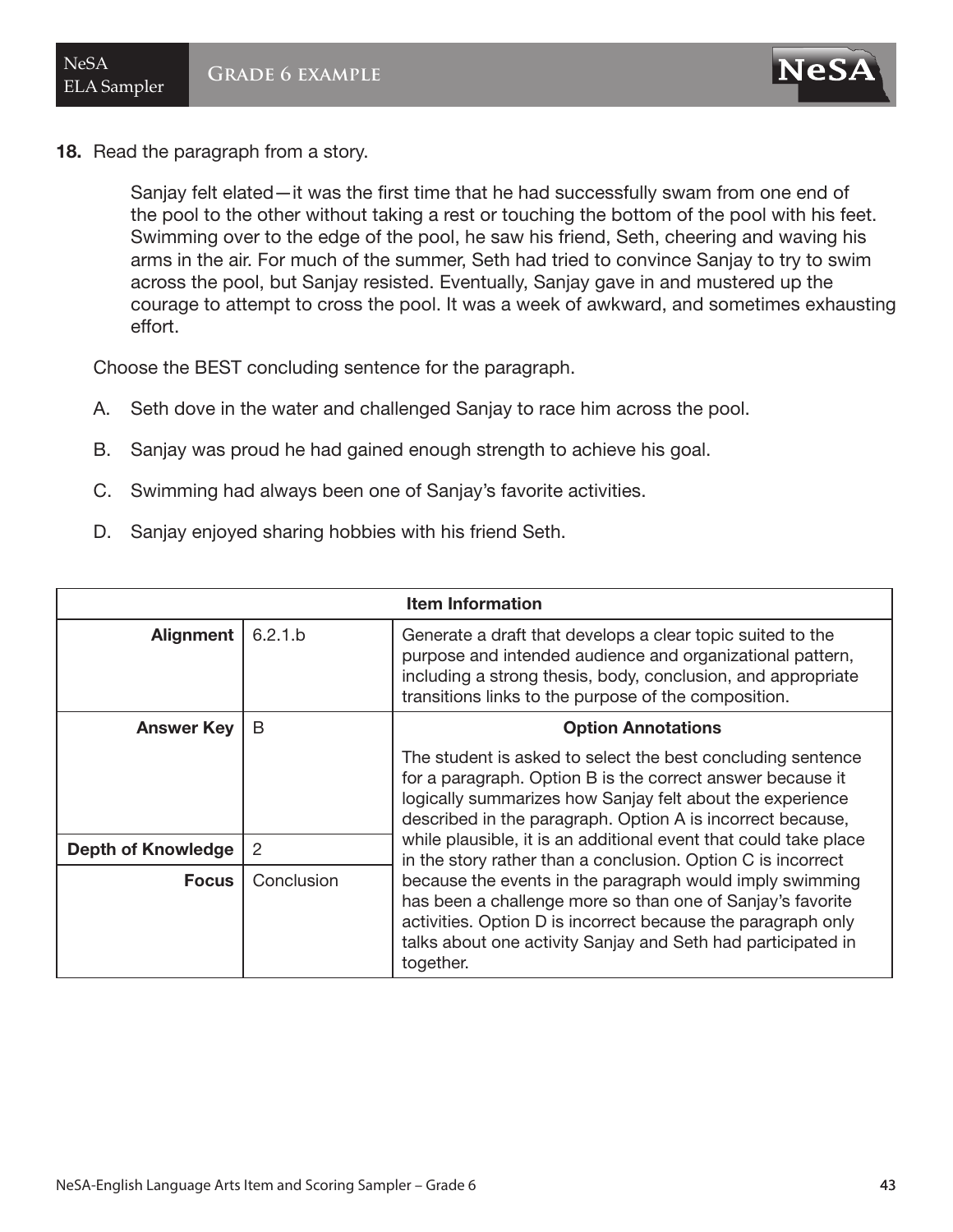

18. Read the paragraph from a story.

Sanjay felt elated—it was the first time that he had successfully swam from one end of the pool to the other without taking a rest or touching the bottom of the pool with his feet. Swimming over to the edge of the pool, he saw his friend, Seth, cheering and waving his arms in the air. For much of the summer, Seth had tried to convince Sanjay to try to swim across the pool, but Sanjay resisted. Eventually, Sanjay gave in and mustered up the courage to attempt to cross the pool. It was a week of awkward, and sometimes exhausting effort.

Choose the BEST concluding sentence for the paragraph.

- A. Seth dove in the water and challenged Sanjay to race him across the pool.
- B. Sanjay was proud he had gained enough strength to achieve his goal.
- C. Swimming had always been one of Sanjay's favorite activities.
- D. Sanjay enjoyed sharing hobbies with his friend Seth.

| <b>Item Information</b>   |            |                                                                                                                                                                                                                                                                     |
|---------------------------|------------|---------------------------------------------------------------------------------------------------------------------------------------------------------------------------------------------------------------------------------------------------------------------|
| <b>Alignment</b>          | 6.2.1.b    | Generate a draft that develops a clear topic suited to the<br>purpose and intended audience and organizational pattern,<br>including a strong thesis, body, conclusion, and appropriate<br>transitions links to the purpose of the composition.                     |
| <b>Answer Key</b>         | B          | <b>Option Annotations</b>                                                                                                                                                                                                                                           |
|                           |            | The student is asked to select the best concluding sentence<br>for a paragraph. Option B is the correct answer because it<br>logically summarizes how Sanjay felt about the experience<br>described in the paragraph. Option A is incorrect because,                |
| <b>Depth of Knowledge</b> | 2          | while plausible, it is an additional event that could take place<br>in the story rather than a conclusion. Option C is incorrect                                                                                                                                    |
| <b>Focus</b>              | Conclusion | because the events in the paragraph would imply swimming<br>has been a challenge more so than one of Sanjay's favorite<br>activities. Option D is incorrect because the paragraph only<br>talks about one activity Sanjay and Seth had participated in<br>together. |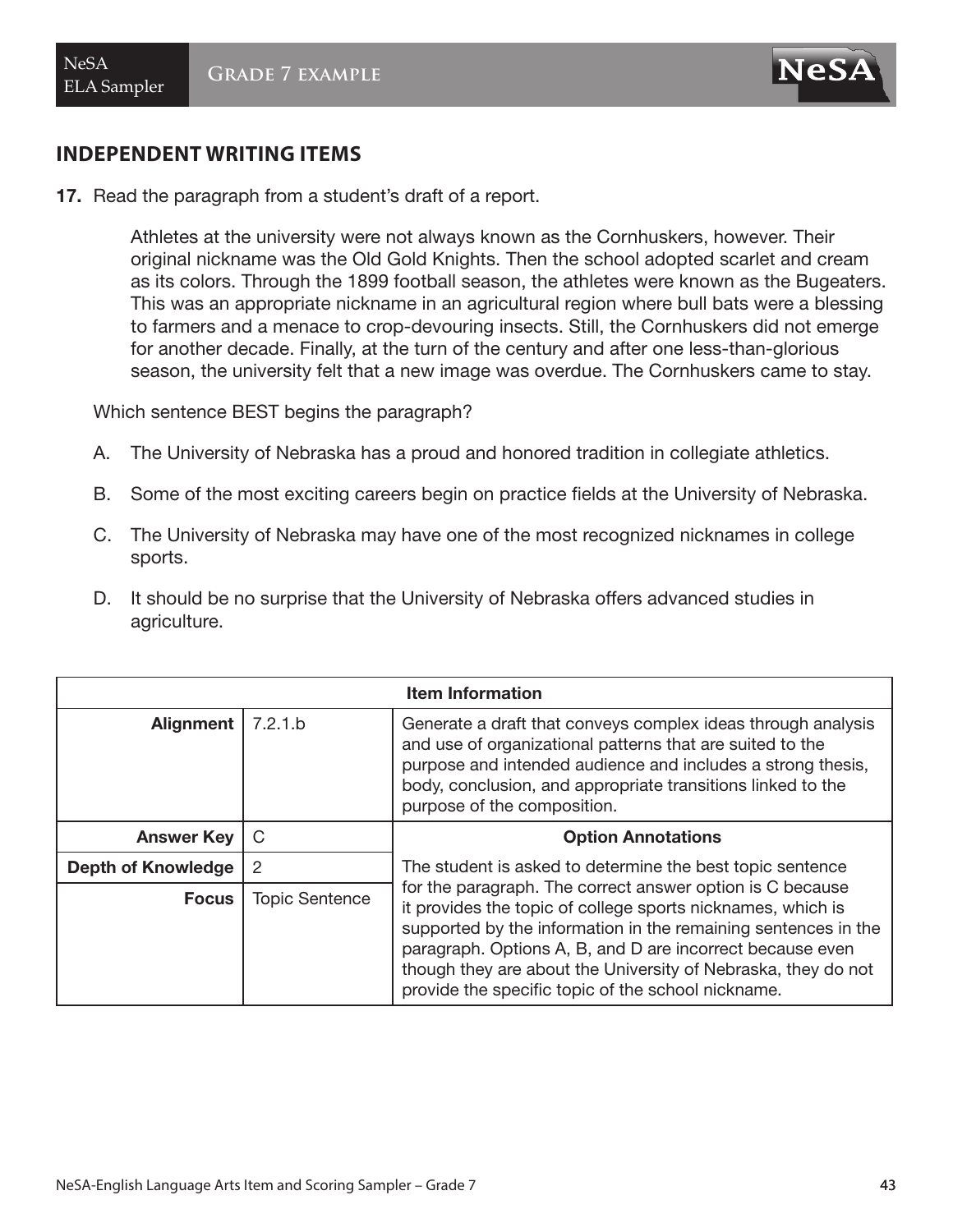$$
{\bf N}\mathbf{e}\mathbf{S}\mathbf{\widetilde{A}}
$$

17. Read the paragraph from a student's draft of a report.

Athletes at the university were not always known as the Cornhuskers, however. Their original nickname was the Old Gold Knights. Then the school adopted scarlet and cream as its colors. Through the 1899 football season, the athletes were known as the Bugeaters. This was an appropriate nickname in an agricultural region where bull bats were a blessing to farmers and a menace to crop-devouring insects. Still, the Cornhuskers did not emerge for another decade. Finally, at the turn of the century and after one less-than-glorious season, the university felt that a new image was overdue. The Cornhuskers came to stay.

Which sentence BEST begins the paragraph?

- A. The University of Nebraska has a proud and honored tradition in collegiate athletics.
- B. Some of the most exciting careers begin on practice fields at the University of Nebraska.
- C. The University of Nebraska may have one of the most recognized nicknames in college sports.
- D. It should be no surprise that the University of Nebraska offers advanced studies in agriculture.

| <b>Item Information</b>   |                |                                                                                                                                                                                                                                                                                                                                                                                |
|---------------------------|----------------|--------------------------------------------------------------------------------------------------------------------------------------------------------------------------------------------------------------------------------------------------------------------------------------------------------------------------------------------------------------------------------|
| <b>Alignment</b>          | 7.2.1.b        | Generate a draft that conveys complex ideas through analysis<br>and use of organizational patterns that are suited to the<br>purpose and intended audience and includes a strong thesis,<br>body, conclusion, and appropriate transitions linked to the<br>purpose of the composition.                                                                                         |
| <b>Answer Key</b>         | C              | <b>Option Annotations</b>                                                                                                                                                                                                                                                                                                                                                      |
| <b>Depth of Knowledge</b> | 2              | The student is asked to determine the best topic sentence                                                                                                                                                                                                                                                                                                                      |
| <b>Focus</b>              | Topic Sentence | for the paragraph. The correct answer option is C because<br>it provides the topic of college sports nicknames, which is<br>supported by the information in the remaining sentences in the<br>paragraph. Options A, B, and D are incorrect because even<br>though they are about the University of Nebraska, they do not<br>provide the specific topic of the school nickname. |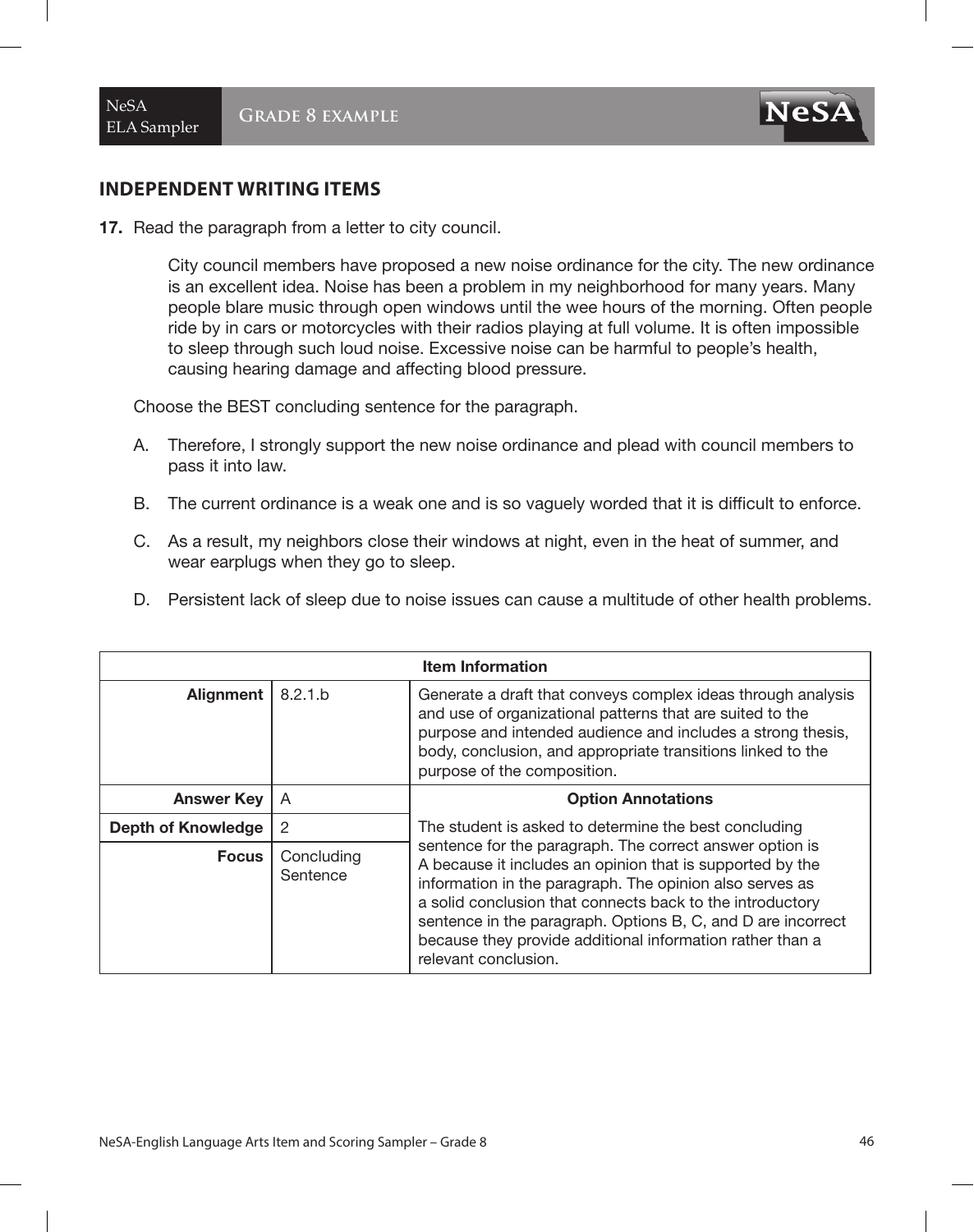**NeSA** 

17. Read the paragraph from a letter to city council.

City council members have proposed a new noise ordinance for the city. The new ordinance is an excellent idea. Noise has been a problem in my neighborhood for many years. Many people blare music through open windows until the wee hours of the morning. Often people ride by in cars or motorcycles with their radios playing at full volume. It is often impossible to sleep through such loud noise. Excessive noise can be harmful to people's health, causing hearing damage and affecting blood pressure.

Choose the BEST concluding sentence for the paragraph.

- A. Therefore, I strongly support the new noise ordinance and plead with council members to pass it into law.
- B. The current ordinance is a weak one and is so vaguely worded that it is difficult to enforce.
- C. As a result, my neighbors close their windows at night, even in the heat of summer, and wear earplugs when they go to sleep.
- D. Persistent lack of sleep due to noise issues can cause a multitude of other health problems.

| <b>Item Information</b>   |                        |                                                                                                                                                                                                                                                                                                                                                                                                     |
|---------------------------|------------------------|-----------------------------------------------------------------------------------------------------------------------------------------------------------------------------------------------------------------------------------------------------------------------------------------------------------------------------------------------------------------------------------------------------|
| Alignment                 | 8.2.1.b                | Generate a draft that conveys complex ideas through analysis<br>and use of organizational patterns that are suited to the<br>purpose and intended audience and includes a strong thesis,<br>body, conclusion, and appropriate transitions linked to the<br>purpose of the composition.                                                                                                              |
| <b>Answer Key</b>         | A                      | <b>Option Annotations</b>                                                                                                                                                                                                                                                                                                                                                                           |
| <b>Depth of Knowledge</b> | $\overline{2}$         | The student is asked to determine the best concluding                                                                                                                                                                                                                                                                                                                                               |
| <b>Focus</b>              | Concluding<br>Sentence | sentence for the paragraph. The correct answer option is<br>A because it includes an opinion that is supported by the<br>information in the paragraph. The opinion also serves as<br>a solid conclusion that connects back to the introductory<br>sentence in the paragraph. Options B, C, and D are incorrect<br>because they provide additional information rather than a<br>relevant conclusion. |